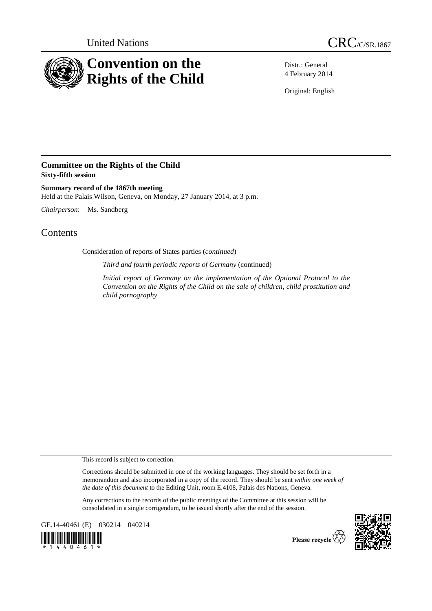



Distr.: General 4 February 2014

Original: English

## **Committee on the Rights of the Child Sixty-fifth session**

**Summary record of the 1867th meeting**  Held at the Palais Wilson, Geneva, on Monday, 27 January 2014, at 3 p.m.

*Chairperson*: Ms. Sandberg

## **Contents**

Consideration of reports of States parties (*continued*)

*Third and fourth periodic reports of Germany* (continued)

*Initial report of Germany on the implementation of the Optional Protocol to the Convention on the Rights of the Child on the sale of children, child prostitution and child pornography* 

This record is subject to correction.

Corrections should be submitted in one of the working languages. They should be set forth in a memorandum and also incorporated in a copy of the record. They should be sent *within one week of the date of this document* to the Editing Unit, room E.4108, Palais des Nations, Geneva.

Any corrections to the records of the public meetings of the Committee at this session will be consolidated in a single corrigendum, to be issued shortly after the end of the session.

GE.14-40461 (E) 030214 040214





Please recycle<sup>7</sup>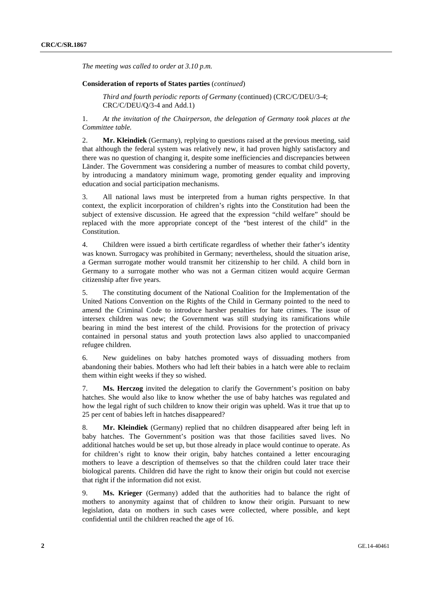*The meeting was called to order at 3.10 p.m.* 

## **Consideration of reports of States parties** (*continued*)

*Third and fourth periodic reports of Germany* (continued) (CRC/C/DEU/3-4; CRC/C/DEU/Q/3-4 and Add.1)

1. *At the invitation of the Chairperson, the delegation of Germany took places at the Committee table.* 

2. **Mr. Kleindiek** (Germany), replying to questions raised at the previous meeting, said that although the federal system was relatively new, it had proven highly satisfactory and there was no question of changing it, despite some inefficiencies and discrepancies between Länder. The Government was considering a number of measures to combat child poverty, by introducing a mandatory minimum wage, promoting gender equality and improving education and social participation mechanisms.

3. All national laws must be interpreted from a human rights perspective. In that context, the explicit incorporation of children's rights into the Constitution had been the subject of extensive discussion. He agreed that the expression "child welfare" should be replaced with the more appropriate concept of the "best interest of the child" in the Constitution.

4. Children were issued a birth certificate regardless of whether their father's identity was known. Surrogacy was prohibited in Germany; nevertheless, should the situation arise, a German surrogate mother would transmit her citizenship to her child. A child born in Germany to a surrogate mother who was not a German citizen would acquire German citizenship after five years.

5. The constituting document of the National Coalition for the Implementation of the United Nations Convention on the Rights of the Child in Germany pointed to the need to amend the Criminal Code to introduce harsher penalties for hate crimes. The issue of intersex children was new; the Government was still studying its ramifications while bearing in mind the best interest of the child. Provisions for the protection of privacy contained in personal status and youth protection laws also applied to unaccompanied refugee children.

6. New guidelines on baby hatches promoted ways of dissuading mothers from abandoning their babies. Mothers who had left their babies in a hatch were able to reclaim them within eight weeks if they so wished.

7. **Ms. Herczog** invited the delegation to clarify the Government's position on baby hatches. She would also like to know whether the use of baby hatches was regulated and how the legal right of such children to know their origin was upheld. Was it true that up to 25 per cent of babies left in hatches disappeared?

8. **Mr. Kleindiek** (Germany) replied that no children disappeared after being left in baby hatches. The Government's position was that those facilities saved lives. No additional hatches would be set up, but those already in place would continue to operate. As for children's right to know their origin, baby hatches contained a letter encouraging mothers to leave a description of themselves so that the children could later trace their biological parents. Children did have the right to know their origin but could not exercise that right if the information did not exist.

9. **Ms. Krieger** (Germany) added that the authorities had to balance the right of mothers to anonymity against that of children to know their origin. Pursuant to new legislation, data on mothers in such cases were collected, where possible, and kept confidential until the children reached the age of 16.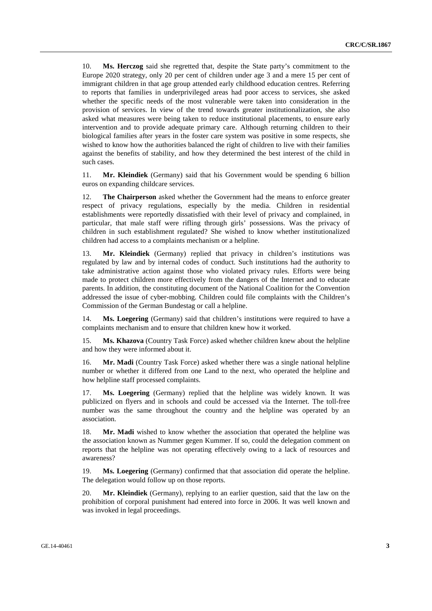10. **Ms. Herczog** said she regretted that, despite the State party's commitment to the Europe 2020 strategy, only 20 per cent of children under age 3 and a mere 15 per cent of immigrant children in that age group attended early childhood education centres. Referring to reports that families in underprivileged areas had poor access to services, she asked whether the specific needs of the most vulnerable were taken into consideration in the provision of services. In view of the trend towards greater institutionalization, she also asked what measures were being taken to reduce institutional placements, to ensure early intervention and to provide adequate primary care. Although returning children to their biological families after years in the foster care system was positive in some respects, she wished to know how the authorities balanced the right of children to live with their families against the benefits of stability, and how they determined the best interest of the child in such cases.

11. **Mr. Kleindiek** (Germany) said that his Government would be spending 6 billion euros on expanding childcare services.

12. **The Chairperson** asked whether the Government had the means to enforce greater respect of privacy regulations, especially by the media. Children in residential establishments were reportedly dissatisfied with their level of privacy and complained, in particular, that male staff were rifling through girls' possessions. Was the privacy of children in such establishment regulated? She wished to know whether institutionalized children had access to a complaints mechanism or a helpline.

13. **Mr. Kleindiek** (Germany) replied that privacy in children's institutions was regulated by law and by internal codes of conduct. Such institutions had the authority to take administrative action against those who violated privacy rules. Efforts were being made to protect children more effectively from the dangers of the Internet and to educate parents. In addition, the constituting document of the National Coalition for the Convention addressed the issue of cyber-mobbing. Children could file complaints with the Children's Commission of the German Bundestag or call a helpline.

14. **Ms. Loegering** (Germany) said that children's institutions were required to have a complaints mechanism and to ensure that children knew how it worked.

15. **Ms. Khazova** (Country Task Force) asked whether children knew about the helpline and how they were informed about it.

16. **Mr. Madi** (Country Task Force) asked whether there was a single national helpline number or whether it differed from one Land to the next, who operated the helpline and how helpline staff processed complaints.

17. **Ms. Loegering** (Germany) replied that the helpline was widely known. It was publicized on flyers and in schools and could be accessed via the Internet. The toll-free number was the same throughout the country and the helpline was operated by an association.

18. **Mr. Madi** wished to know whether the association that operated the helpline was the association known as Nummer gegen Kummer. If so, could the delegation comment on reports that the helpline was not operating effectively owing to a lack of resources and awareness?

19. **Ms. Loegering** (Germany) confirmed that that association did operate the helpline. The delegation would follow up on those reports.

20. **Mr. Kleindiek** (Germany), replying to an earlier question, said that the law on the prohibition of corporal punishment had entered into force in 2006. It was well known and was invoked in legal proceedings.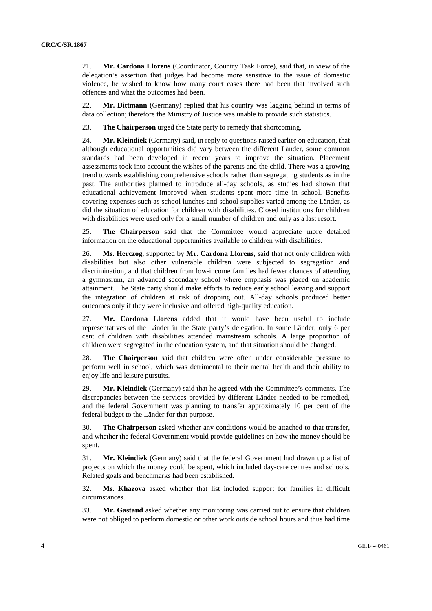21. **Mr. Cardona Llorens** (Coordinator, Country Task Force), said that, in view of the delegation's assertion that judges had become more sensitive to the issue of domestic violence, he wished to know how many court cases there had been that involved such offences and what the outcomes had been.

22. **Mr. Dittmann** (Germany) replied that his country was lagging behind in terms of data collection; therefore the Ministry of Justice was unable to provide such statistics.

23. **The Chairperson** urged the State party to remedy that shortcoming.

24. **Mr. Kleindiek** (Germany) said, in reply to questions raised earlier on education, that although educational opportunities did vary between the different Länder, some common standards had been developed in recent years to improve the situation. Placement assessments took into account the wishes of the parents and the child. There was a growing trend towards establishing comprehensive schools rather than segregating students as in the past. The authorities planned to introduce all-day schools, as studies had shown that educational achievement improved when students spent more time in school. Benefits covering expenses such as school lunches and school supplies varied among the Länder, as did the situation of education for children with disabilities. Closed institutions for children with disabilities were used only for a small number of children and only as a last resort.

25. **The Chairperson** said that the Committee would appreciate more detailed information on the educational opportunities available to children with disabilities.

26. **Ms. Herczog**, supported by **Mr. Cardona Llorens**, said that not only children with disabilities but also other vulnerable children were subjected to segregation and discrimination, and that children from low-income families had fewer chances of attending a gymnasium, an advanced secondary school where emphasis was placed on academic attainment. The State party should make efforts to reduce early school leaving and support the integration of children at risk of dropping out. All-day schools produced better outcomes only if they were inclusive and offered high-quality education.

27. **Mr. Cardona Llorens** added that it would have been useful to include representatives of the Länder in the State party's delegation. In some Länder, only 6 per cent of children with disabilities attended mainstream schools. A large proportion of children were segregated in the education system, and that situation should be changed.

28. **The Chairperson** said that children were often under considerable pressure to perform well in school, which was detrimental to their mental health and their ability to enjoy life and leisure pursuits.

29. **Mr. Kleindiek** (Germany) said that he agreed with the Committee's comments. The discrepancies between the services provided by different Länder needed to be remedied, and the federal Government was planning to transfer approximately 10 per cent of the federal budget to the Länder for that purpose.

30. **The Chairperson** asked whether any conditions would be attached to that transfer, and whether the federal Government would provide guidelines on how the money should be spent.

31. **Mr. Kleindiek** (Germany) said that the federal Government had drawn up a list of projects on which the money could be spent, which included day-care centres and schools. Related goals and benchmarks had been established.

32. **Ms. Khazova** asked whether that list included support for families in difficult circumstances.

33. **Mr. Gastaud** asked whether any monitoring was carried out to ensure that children were not obliged to perform domestic or other work outside school hours and thus had time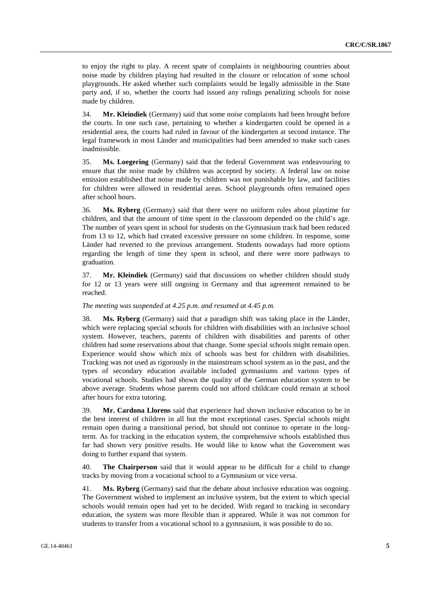to enjoy the right to play. A recent spate of complaints in neighbouring countries about noise made by children playing had resulted in the closure or relocation of some school playgrounds. He asked whether such complaints would be legally admissible in the State party and, if so, whether the courts had issued any rulings penalizing schools for noise made by children.

34. **Mr. Kleindiek** (Germany) said that some noise complaints had been brought before the courts. In one such case, pertaining to whether a kindergarten could be opened in a residential area, the courts had ruled in favour of the kindergarten at second instance. The legal framework in most Länder and municipalities had been amended to make such cases inadmissible.

35. **Ms. Loegering** (Germany) said that the federal Government was endeavouring to ensure that the noise made by children was accepted by society. A federal law on noise emission established that noise made by children was not punishable by law, and facilities for children were allowed in residential areas. School playgrounds often remained open after school hours.

36. **Ms. Ryberg** (Germany) said that there were no uniform rules about playtime for children, and that the amount of time spent in the classroom depended on the child's age. The number of years spent in school for students on the Gymnasium track had been reduced from 13 to 12, which had created excessive pressure on some children. In response, some Länder had reverted to the previous arrangement. Students nowadays had more options regarding the length of time they spent in school, and there were more pathways to graduation.

37. **Mr. Kleindiek** (Germany) said that discussions on whether children should study for 12 or 13 years were still ongoing in Germany and that agreement remained to be reached.

## *The meeting was suspended at 4.25 p.m. and resumed at 4.45 p.m.*

38. **Ms. Ryberg** (Germany) said that a paradigm shift was taking place in the Länder, which were replacing special schools for children with disabilities with an inclusive school system. However, teachers, parents of children with disabilities and parents of other children had some reservations about that change. Some special schools might remain open. Experience would show which mix of schools was best for children with disabilities. Tracking was not used as rigorously in the mainstream school system as in the past, and the types of secondary education available included gymnasiums and various types of vocational schools. Studies had shown the quality of the German education system to be above average. Students whose parents could not afford childcare could remain at school after hours for extra tutoring.

39. **Mr. Cardona Llorens** said that experience had shown inclusive education to be in the best interest of children in all but the most exceptional cases. Special schools might remain open during a transitional period, but should not continue to operate in the longterm. As for tracking in the education system, the comprehensive schools established thus far had shown very positive results. He would like to know what the Government was doing to further expand that system.

40. **The Chairperson** said that it would appear to be difficult for a child to change tracks by moving from a vocational school to a Gymnasium or vice versa.

41. **Ms. Ryberg** (Germany) said that the debate about inclusive education was ongoing. The Government wished to implement an inclusive system, but the extent to which special schools would remain open had yet to be decided. With regard to tracking in secondary education, the system was more flexible than it appeared. While it was not common for students to transfer from a vocational school to a gymnasium, it was possible to do so.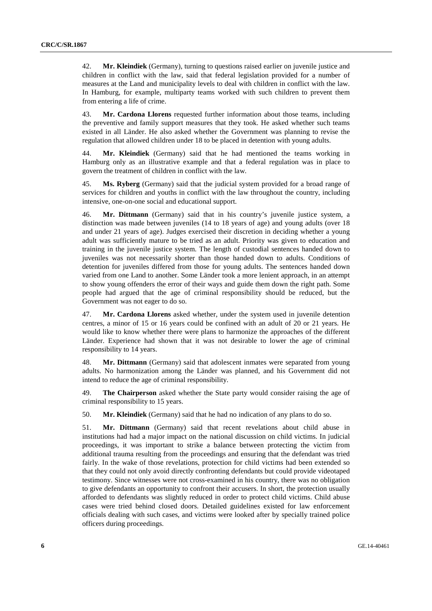42. **Mr. Kleindiek** (Germany), turning to questions raised earlier on juvenile justice and children in conflict with the law, said that federal legislation provided for a number of measures at the Land and municipality levels to deal with children in conflict with the law. In Hamburg, for example, multiparty teams worked with such children to prevent them from entering a life of crime.

43. **Mr. Cardona Llorens** requested further information about those teams, including the preventive and family support measures that they took. He asked whether such teams existed in all Länder. He also asked whether the Government was planning to revise the regulation that allowed children under 18 to be placed in detention with young adults.

44. **Mr. Kleindiek** (Germany) said that he had mentioned the teams working in Hamburg only as an illustrative example and that a federal regulation was in place to govern the treatment of children in conflict with the law.

45. **Ms. Ryberg** (Germany) said that the judicial system provided for a broad range of services for children and youths in conflict with the law throughout the country, including intensive, one-on-one social and educational support.

46. **Mr. Dittmann** (Germany) said that in his country's juvenile justice system, a distinction was made between juveniles (14 to 18 years of age) and young adults (over 18 and under 21 years of age). Judges exercised their discretion in deciding whether a young adult was sufficiently mature to be tried as an adult. Priority was given to education and training in the juvenile justice system. The length of custodial sentences handed down to juveniles was not necessarily shorter than those handed down to adults. Conditions of detention for juveniles differed from those for young adults. The sentences handed down varied from one Land to another. Some Länder took a more lenient approach, in an attempt to show young offenders the error of their ways and guide them down the right path. Some people had argued that the age of criminal responsibility should be reduced, but the Government was not eager to do so.

47. **Mr. Cardona Llorens** asked whether, under the system used in juvenile detention centres, a minor of 15 or 16 years could be confined with an adult of 20 or 21 years. He would like to know whether there were plans to harmonize the approaches of the different Länder. Experience had shown that it was not desirable to lower the age of criminal responsibility to 14 years.

48. **Mr. Dittmann** (Germany) said that adolescent inmates were separated from young adults. No harmonization among the Länder was planned, and his Government did not intend to reduce the age of criminal responsibility.

49. **The Chairperson** asked whether the State party would consider raising the age of criminal responsibility to 15 years.

50. **Mr. Kleindiek** (Germany) said that he had no indication of any plans to do so.

51. **Mr. Dittmann** (Germany) said that recent revelations about child abuse in institutions had had a major impact on the national discussion on child victims. In judicial proceedings, it was important to strike a balance between protecting the victim from additional trauma resulting from the proceedings and ensuring that the defendant was tried fairly. In the wake of those revelations, protection for child victims had been extended so that they could not only avoid directly confronting defendants but could provide videotaped testimony. Since witnesses were not cross-examined in his country, there was no obligation to give defendants an opportunity to confront their accusers. In short, the protection usually afforded to defendants was slightly reduced in order to protect child victims. Child abuse cases were tried behind closed doors. Detailed guidelines existed for law enforcement officials dealing with such cases, and victims were looked after by specially trained police officers during proceedings.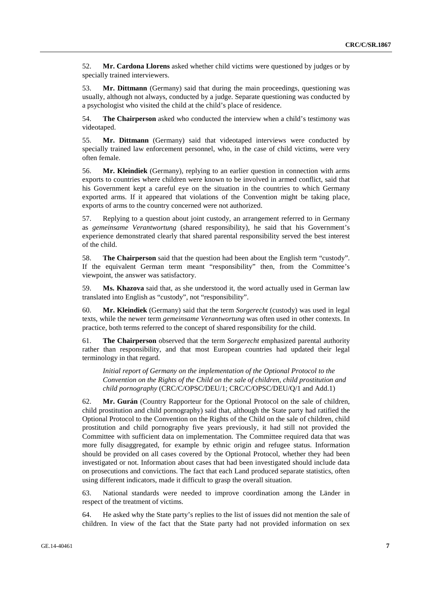52. **Mr. Cardona Llorens** asked whether child victims were questioned by judges or by specially trained interviewers.

53. **Mr. Dittmann** (Germany) said that during the main proceedings, questioning was usually, although not always, conducted by a judge. Separate questioning was conducted by a psychologist who visited the child at the child's place of residence.

54. **The Chairperson** asked who conducted the interview when a child's testimony was videotaped.

55. **Mr. Dittmann** (Germany) said that videotaped interviews were conducted by specially trained law enforcement personnel, who, in the case of child victims, were very often female.

56. **Mr. Kleindiek** (Germany), replying to an earlier question in connection with arms exports to countries where children were known to be involved in armed conflict, said that his Government kept a careful eye on the situation in the countries to which Germany exported arms. If it appeared that violations of the Convention might be taking place, exports of arms to the country concerned were not authorized.

57. Replying to a question about joint custody, an arrangement referred to in Germany as *gemeinsame Verantwortung* (shared responsibility), he said that his Government's experience demonstrated clearly that shared parental responsibility served the best interest of the child.

58. **The Chairperson** said that the question had been about the English term "custody". If the equivalent German term meant "responsibility" then, from the Committee's viewpoint, the answer was satisfactory.

59. **Ms. Khazova** said that, as she understood it, the word actually used in German law translated into English as "custody", not "responsibility".

60. **Mr. Kleindiek** (Germany) said that the term *Sorgerecht* (custody) was used in legal texts, while the newer term *gemeinsame Verantwortung* was often used in other contexts. In practice, both terms referred to the concept of shared responsibility for the child.

61. **The Chairperson** observed that the term *Sorgerecht* emphasized parental authority rather than responsibility, and that most European countries had updated their legal terminology in that regard.

*Initial report of Germany on the implementation of the Optional Protocol to the Convention on the Rights of the Child on the sale of children, child prostitution and child pornography* (CRC/C/OPSC/DEU/1; CRC/C/OPSC/DEU/Q/1 and Add.1)

62. **Mr. Gurán** (Country Rapporteur for the Optional Protocol on the sale of children, child prostitution and child pornography) said that, although the State party had ratified the Optional Protocol to the Convention on the Rights of the Child on the sale of children, child prostitution and child pornography five years previously, it had still not provided the Committee with sufficient data on implementation. The Committee required data that was more fully disaggregated, for example by ethnic origin and refugee status. Information should be provided on all cases covered by the Optional Protocol, whether they had been investigated or not. Information about cases that had been investigated should include data on prosecutions and convictions. The fact that each Land produced separate statistics, often using different indicators, made it difficult to grasp the overall situation.

63. National standards were needed to improve coordination among the Länder in respect of the treatment of victims.

64. He asked why the State party's replies to the list of issues did not mention the sale of children. In view of the fact that the State party had not provided information on sex